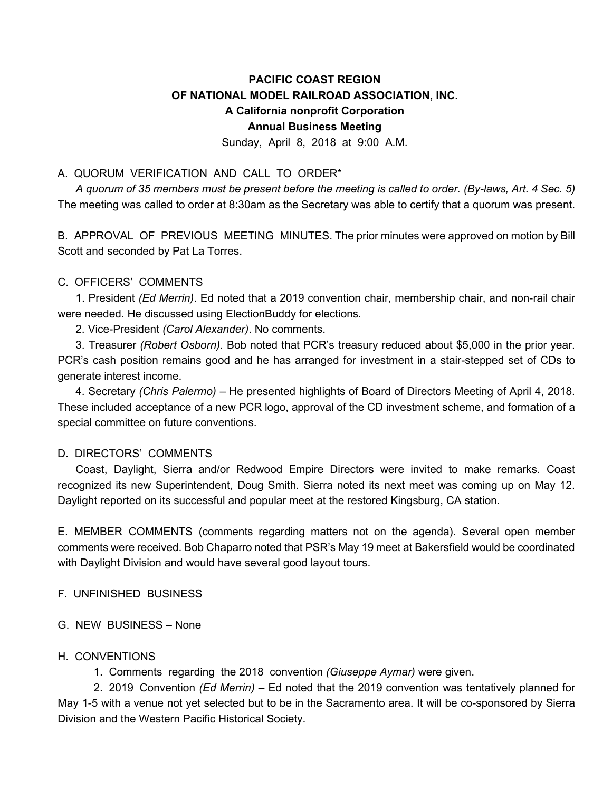# **PACIFIC COAST REGION OF NATIONAL MODEL RAILROAD ASSOCIATION, INC. A California nonprofit Corporation Annual Business Meeting**

Sunday, April 8, 2018 at 9:00 A.M.

## A. QUORUM VERIFICATION AND CALL TO ORDER\*

*A quorum of 35 members must be present before the meeting is called to order. (By-laws, Art. 4 Sec. 5)* The meeting was called to order at 8:30am as the Secretary was able to certify that a quorum was present.

B. APPROVAL OF PREVIOUS MEETING MINUTES. The prior minutes were approved on motion by Bill Scott and seconded by Pat La Torres.

#### C. OFFICERS' COMMENTS

1. President *(Ed Merrin)*. Ed noted that a 2019 convention chair, membership chair, and non-rail chair were needed. He discussed using ElectionBuddy for elections.

2. Vice-President *(Carol Alexander)*. No comments.

3. Treasurer *(Robert Osborn)*. Bob noted that PCR's treasury reduced about \$5,000 in the prior year. PCR's cash position remains good and he has arranged for investment in a stair-stepped set of CDs to generate interest income.

4. Secretary *(Chris Palermo)* – He presented highlights of Board of Directors Meeting of April 4, 2018. These included acceptance of a new PCR logo, approval of the CD investment scheme, and formation of a special committee on future conventions.

### D. DIRECTORS' COMMENTS

Coast, Daylight, Sierra and/or Redwood Empire Directors were invited to make remarks. Coast recognized its new Superintendent, Doug Smith. Sierra noted its next meet was coming up on May 12. Daylight reported on its successful and popular meet at the restored Kingsburg, CA station.

E. MEMBER COMMENTS (comments regarding matters not on the agenda). Several open member comments were received. Bob Chaparro noted that PSR's May 19 meet at Bakersfield would be coordinated with Daylight Division and would have several good layout tours.

### F. UNFINISHED BUSINESS

### G. NEW BUSINESS – None

#### H. CONVENTIONS

1. Comments regarding the 2018 convention *(Giuseppe Aymar)* were given.

2. 2019 Convention *(Ed Merrin) –* Ed noted that the 2019 convention was tentatively planned for May 1-5 with a venue not yet selected but to be in the Sacramento area. It will be co-sponsored by Sierra Division and the Western Pacific Historical Society.